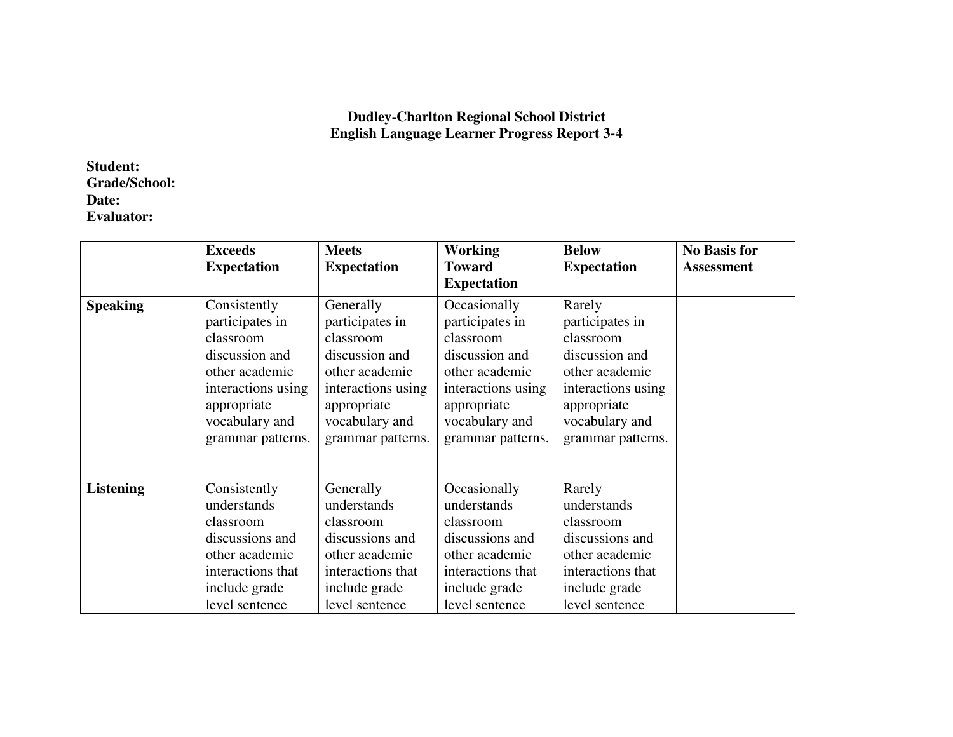## **Dudley-Charlton Regional School District English Language Learner Progress Report 3-4**

## **Student: Grade/School: Date: Evaluator:**

|                  | <b>Exceeds</b>                                                                                                                        | <b>Meets</b>                                                                                                                       | <b>Working</b>                                                                                                                        | <b>Below</b>                                                                                                                    | <b>No Basis for</b> |
|------------------|---------------------------------------------------------------------------------------------------------------------------------------|------------------------------------------------------------------------------------------------------------------------------------|---------------------------------------------------------------------------------------------------------------------------------------|---------------------------------------------------------------------------------------------------------------------------------|---------------------|
|                  | <b>Expectation</b>                                                                                                                    | <b>Expectation</b>                                                                                                                 | <b>Toward</b>                                                                                                                         | <b>Expectation</b>                                                                                                              | <b>Assessment</b>   |
|                  |                                                                                                                                       |                                                                                                                                    | <b>Expectation</b>                                                                                                                    |                                                                                                                                 |                     |
| <b>Speaking</b>  | Consistently<br>participates in<br>classroom<br>discussion and<br>other academic<br>interactions using<br>appropriate                 | Generally<br>participates in<br>classroom<br>discussion and<br>other academic<br>interactions using<br>appropriate                 | Occasionally<br>participates in<br>classroom<br>discussion and<br>other academic<br>interactions using<br>appropriate                 | Rarely<br>participates in<br>classroom<br>discussion and<br>other academic<br>interactions using<br>appropriate                 |                     |
|                  | vocabulary and<br>grammar patterns.                                                                                                   | vocabulary and<br>grammar patterns.                                                                                                | vocabulary and<br>grammar patterns.                                                                                                   | vocabulary and<br>grammar patterns.                                                                                             |                     |
| <b>Listening</b> | Consistently<br>understands<br>classroom<br>discussions and<br>other academic<br>interactions that<br>include grade<br>level sentence | Generally<br>understands<br>classroom<br>discussions and<br>other academic<br>interactions that<br>include grade<br>level sentence | Occasionally<br>understands<br>classroom<br>discussions and<br>other academic<br>interactions that<br>include grade<br>level sentence | Rarely<br>understands<br>classroom<br>discussions and<br>other academic<br>interactions that<br>include grade<br>level sentence |                     |